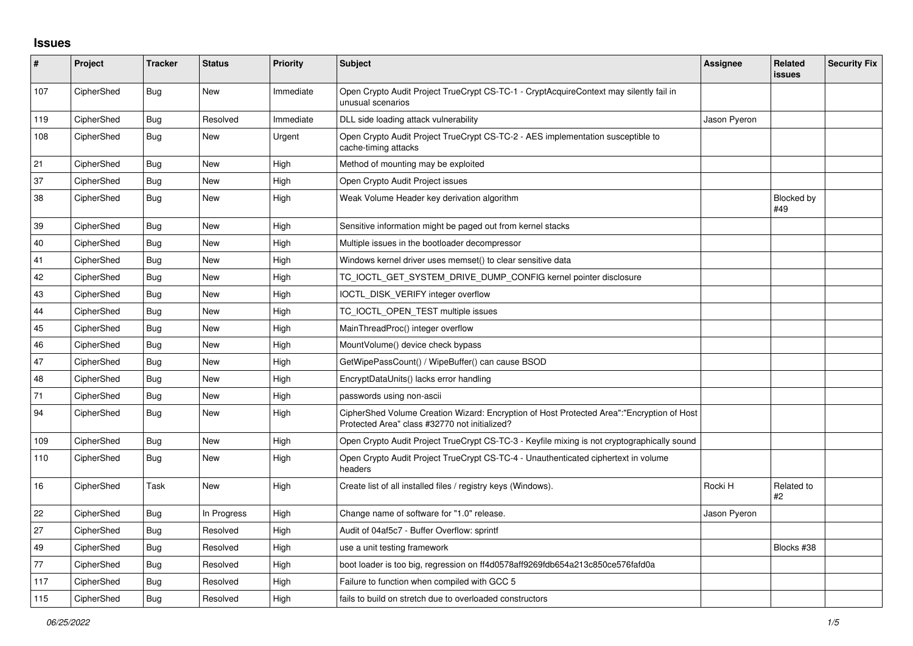## **Issues**

| #   | Project    | <b>Tracker</b> | <b>Status</b> | Priority  | <b>Subject</b>                                                                                                                             | <b>Assignee</b> | <b>Related</b><br>issues | <b>Security Fix</b> |
|-----|------------|----------------|---------------|-----------|--------------------------------------------------------------------------------------------------------------------------------------------|-----------------|--------------------------|---------------------|
| 107 | CipherShed | Bug            | <b>New</b>    | Immediate | Open Crypto Audit Project TrueCrypt CS-TC-1 - CryptAcquireContext may silently fail in<br>unusual scenarios                                |                 |                          |                     |
| 119 | CipherShed | Bug            | Resolved      | Immediate | DLL side loading attack vulnerability                                                                                                      | Jason Pyeron    |                          |                     |
| 108 | CipherShed | Bug            | New           | Urgent    | Open Crypto Audit Project TrueCrypt CS-TC-2 - AES implementation susceptible to<br>cache-timing attacks                                    |                 |                          |                     |
| 21  | CipherShed | <b>Bug</b>     | <b>New</b>    | High      | Method of mounting may be exploited                                                                                                        |                 |                          |                     |
| 37  | CipherShed | Bug            | <b>New</b>    | High      | Open Crypto Audit Project issues                                                                                                           |                 |                          |                     |
| 38  | CipherShed | Bug            | <b>New</b>    | High      | Weak Volume Header key derivation algorithm                                                                                                |                 | Blocked by<br>#49        |                     |
| 39  | CipherShed | Bug            | <b>New</b>    | High      | Sensitive information might be paged out from kernel stacks                                                                                |                 |                          |                     |
| 40  | CipherShed | <b>Bug</b>     | <b>New</b>    | High      | Multiple issues in the bootloader decompressor                                                                                             |                 |                          |                     |
| 41  | CipherShed | Bug            | <b>New</b>    | High      | Windows kernel driver uses memset() to clear sensitive data                                                                                |                 |                          |                     |
| 42  | CipherShed | Bug            | <b>New</b>    | High      | TC IOCTL GET SYSTEM DRIVE DUMP CONFIG kernel pointer disclosure                                                                            |                 |                          |                     |
| 43  | CipherShed | Bug            | <b>New</b>    | High      | IOCTL_DISK_VERIFY integer overflow                                                                                                         |                 |                          |                     |
| 44  | CipherShed | <b>Bug</b>     | <b>New</b>    | High      | TC_IOCTL_OPEN_TEST multiple issues                                                                                                         |                 |                          |                     |
| 45  | CipherShed | Bug            | <b>New</b>    | High      | MainThreadProc() integer overflow                                                                                                          |                 |                          |                     |
| 46  | CipherShed | Bug            | <b>New</b>    | High      | MountVolume() device check bypass                                                                                                          |                 |                          |                     |
| 47  | CipherShed | Bug            | <b>New</b>    | High      | GetWipePassCount() / WipeBuffer() can cause BSOD                                                                                           |                 |                          |                     |
| 48  | CipherShed | <b>Bug</b>     | <b>New</b>    | High      | EncryptDataUnits() lacks error handling                                                                                                    |                 |                          |                     |
| 71  | CipherShed | <b>Bug</b>     | <b>New</b>    | High      | passwords using non-ascii                                                                                                                  |                 |                          |                     |
| 94  | CipherShed | Bug            | <b>New</b>    | High      | CipherShed Volume Creation Wizard: Encryption of Host Protected Area":"Encryption of Host<br>Protected Area" class #32770 not initialized? |                 |                          |                     |
| 109 | CipherShed | Bug            | <b>New</b>    | High      | Open Crypto Audit Project TrueCrypt CS-TC-3 - Keyfile mixing is not cryptographically sound                                                |                 |                          |                     |
| 110 | CipherShed | Bug            | <b>New</b>    | High      | Open Crypto Audit Project TrueCrypt CS-TC-4 - Unauthenticated ciphertext in volume<br>headers                                              |                 |                          |                     |
| 16  | CipherShed | Task           | <b>New</b>    | High      | Create list of all installed files / registry keys (Windows).                                                                              | Rocki H         | Related to<br>#2         |                     |
| 22  | CipherShed | Bug            | In Progress   | High      | Change name of software for "1.0" release.                                                                                                 | Jason Pyeron    |                          |                     |
| 27  | CipherShed | Bug            | Resolved      | High      | Audit of 04af5c7 - Buffer Overflow: sprintf                                                                                                |                 |                          |                     |
| 49  | CipherShed | Bug            | Resolved      | High      | use a unit testing framework                                                                                                               |                 | Blocks #38               |                     |
| 77  | CipherShed | Bug            | Resolved      | High      | boot loader is too big, regression on ff4d0578aff9269fdb654a213c850ce576fafd0a                                                             |                 |                          |                     |
| 117 | CipherShed | Bug            | Resolved      | High      | Failure to function when compiled with GCC 5                                                                                               |                 |                          |                     |
| 115 | CipherShed | <b>Bug</b>     | Resolved      | High      | fails to build on stretch due to overloaded constructors                                                                                   |                 |                          |                     |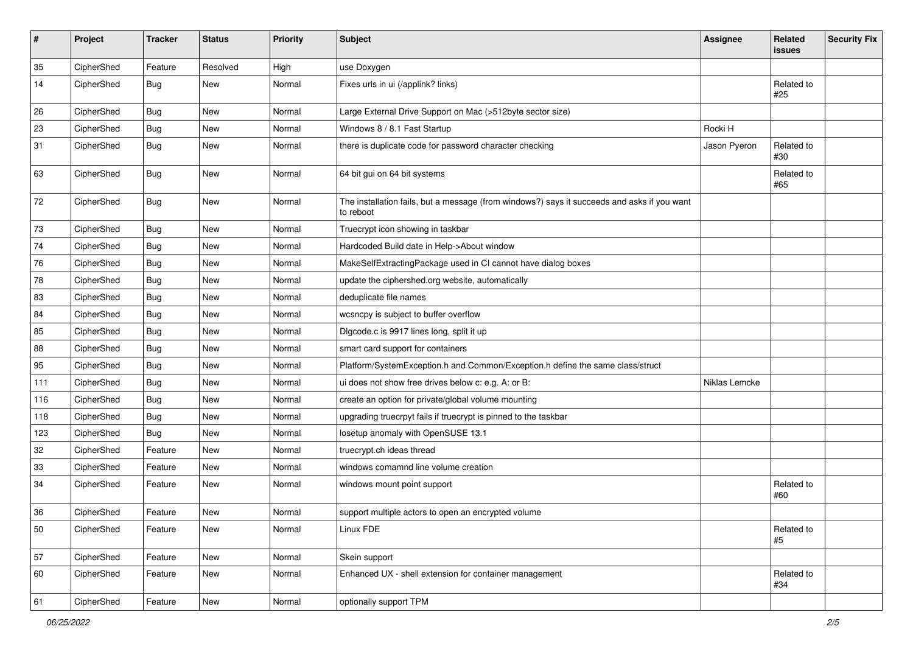| $\pmb{\#}$ | Project    | <b>Tracker</b> | <b>Status</b> | <b>Priority</b> | Subject                                                                                                  | <b>Assignee</b> | Related<br><b>issues</b> | <b>Security Fix</b> |
|------------|------------|----------------|---------------|-----------------|----------------------------------------------------------------------------------------------------------|-----------------|--------------------------|---------------------|
| 35         | CipherShed | Feature        | Resolved      | High            | use Doxygen                                                                                              |                 |                          |                     |
| 14         | CipherShed | <b>Bug</b>     | <b>New</b>    | Normal          | Fixes urls in ui (/applink? links)                                                                       |                 | Related to<br>#25        |                     |
| 26         | CipherShed | Bug            | <b>New</b>    | Normal          | Large External Drive Support on Mac (>512byte sector size)                                               |                 |                          |                     |
| 23         | CipherShed | <b>Bug</b>     | New           | Normal          | Windows 8 / 8.1 Fast Startup                                                                             | Rocki H         |                          |                     |
| 31         | CipherShed | <b>Bug</b>     | <b>New</b>    | Normal          | there is duplicate code for password character checking                                                  | Jason Pyeron    | Related to<br>#30        |                     |
| 63         | CipherShed | <b>Bug</b>     | New           | Normal          | 64 bit gui on 64 bit systems                                                                             |                 | Related to<br>#65        |                     |
| 72         | CipherShed | Bug            | <b>New</b>    | Normal          | The installation fails, but a message (from windows?) says it succeeds and asks if you want<br>to reboot |                 |                          |                     |
| 73         | CipherShed | <b>Bug</b>     | New           | Normal          | Truecrypt icon showing in taskbar                                                                        |                 |                          |                     |
| 74         | CipherShed | <b>Bug</b>     | <b>New</b>    | Normal          | Hardcoded Build date in Help->About window                                                               |                 |                          |                     |
| 76         | CipherShed | <b>Bug</b>     | New           | Normal          | MakeSelfExtractingPackage used in CI cannot have dialog boxes                                            |                 |                          |                     |
| 78         | CipherShed | <b>Bug</b>     | New           | Normal          | update the ciphershed.org website, automatically                                                         |                 |                          |                     |
| 83         | CipherShed | <b>Bug</b>     | New           | Normal          | deduplicate file names                                                                                   |                 |                          |                     |
| 84         | CipherShed | <b>Bug</b>     | <b>New</b>    | Normal          | wcsncpy is subject to buffer overflow                                                                    |                 |                          |                     |
| 85         | CipherShed | <b>Bug</b>     | <b>New</b>    | Normal          | Digcode.c is 9917 lines long, split it up                                                                |                 |                          |                     |
| 88         | CipherShed | <b>Bug</b>     | New           | Normal          | smart card support for containers                                                                        |                 |                          |                     |
| 95         | CipherShed | <b>Bug</b>     | <b>New</b>    | Normal          | Platform/SystemException.h and Common/Exception.h define the same class/struct                           |                 |                          |                     |
| 111        | CipherShed | <b>Bug</b>     | New           | Normal          | ui does not show free drives below c: e.g. A: or B:                                                      | Niklas Lemcke   |                          |                     |
| 116        | CipherShed | <b>Bug</b>     | New           | Normal          | create an option for private/global volume mounting                                                      |                 |                          |                     |
| 118        | CipherShed | <b>Bug</b>     | New           | Normal          | upgrading truecrpyt fails if truecrypt is pinned to the taskbar                                          |                 |                          |                     |
| 123        | CipherShed | Bug            | New           | Normal          | losetup anomaly with OpenSUSE 13.1                                                                       |                 |                          |                     |
| 32         | CipherShed | Feature        | <b>New</b>    | Normal          | truecrypt.ch ideas thread                                                                                |                 |                          |                     |
| 33         | CipherShed | Feature        | New           | Normal          | windows comamnd line volume creation                                                                     |                 |                          |                     |
| 34         | CipherShed | Feature        | New           | Normal          | windows mount point support                                                                              |                 | Related to<br>#60        |                     |
| 36         | CipherShed | Feature        | New           | Normal          | support multiple actors to open an encrypted volume                                                      |                 |                          |                     |
| 50         | CipherShed | Feature        | New           | Normal          | Linux FDE                                                                                                |                 | Related to<br>#5         |                     |
| 57         | CipherShed | Feature        | New           | Normal          | Skein support                                                                                            |                 |                          |                     |
| 60         | CipherShed | Feature        | New           | Normal          | Enhanced UX - shell extension for container management                                                   |                 | Related to<br>#34        |                     |
| 61         | CipherShed | Feature        | New           | Normal          | optionally support TPM                                                                                   |                 |                          |                     |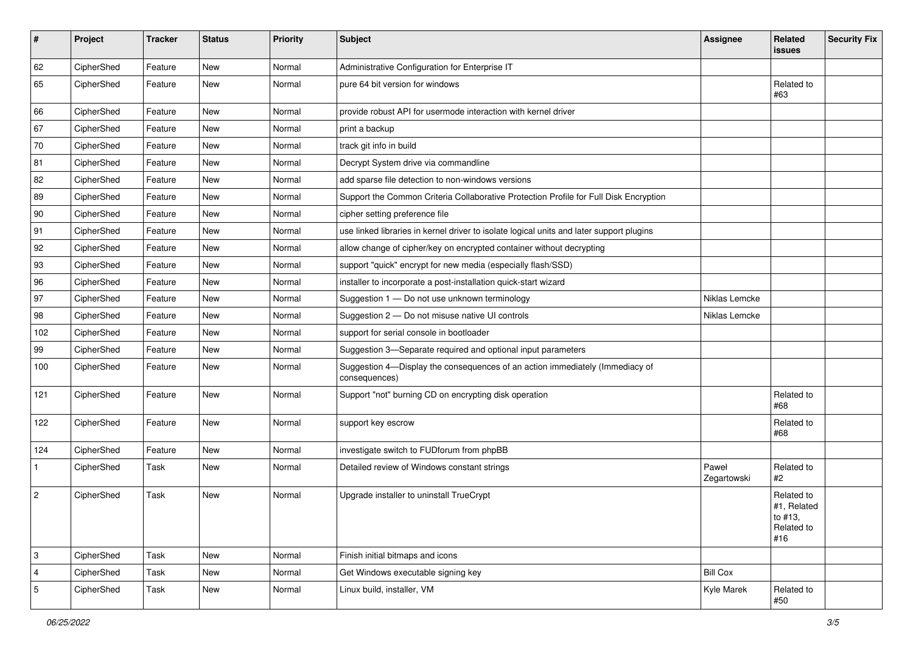| #              | Project    | <b>Tracker</b> | <b>Status</b> | <b>Priority</b> | Subject                                                                                       | <b>Assignee</b>      | Related<br><b>issues</b>                                  | <b>Security Fix</b> |
|----------------|------------|----------------|---------------|-----------------|-----------------------------------------------------------------------------------------------|----------------------|-----------------------------------------------------------|---------------------|
| 62             | CipherShed | Feature        | <b>New</b>    | Normal          | Administrative Configuration for Enterprise IT                                                |                      |                                                           |                     |
| 65             | CipherShed | Feature        | New           | Normal          | pure 64 bit version for windows                                                               |                      | Related to<br>#63                                         |                     |
| 66             | CipherShed | Feature        | <b>New</b>    | Normal          | provide robust API for usermode interaction with kernel driver                                |                      |                                                           |                     |
| 67             | CipherShed | Feature        | <b>New</b>    | Normal          | print a backup                                                                                |                      |                                                           |                     |
| 70             | CipherShed | Feature        | New           | Normal          | track git info in build                                                                       |                      |                                                           |                     |
| 81             | CipherShed | Feature        | New           | Normal          | Decrypt System drive via commandline                                                          |                      |                                                           |                     |
| 82             | CipherShed | Feature        | New           | Normal          | add sparse file detection to non-windows versions                                             |                      |                                                           |                     |
| 89             | CipherShed | Feature        | <b>New</b>    | Normal          | Support the Common Criteria Collaborative Protection Profile for Full Disk Encryption         |                      |                                                           |                     |
| 90             | CipherShed | Feature        | New           | Normal          | cipher setting preference file                                                                |                      |                                                           |                     |
| 91             | CipherShed | Feature        | New           | Normal          | use linked libraries in kernel driver to isolate logical units and later support plugins      |                      |                                                           |                     |
| 92             | CipherShed | Feature        | New           | Normal          | allow change of cipher/key on encrypted container without decrypting                          |                      |                                                           |                     |
| 93             | CipherShed | Feature        | New           | Normal          | support "quick" encrypt for new media (especially flash/SSD)                                  |                      |                                                           |                     |
| 96             | CipherShed | Feature        | New           | Normal          | installer to incorporate a post-installation quick-start wizard                               |                      |                                                           |                     |
| 97             | CipherShed | Feature        | New           | Normal          | Suggestion 1 - Do not use unknown terminology                                                 | Niklas Lemcke        |                                                           |                     |
| 98             | CipherShed | Feature        | New           | Normal          | Suggestion 2 - Do not misuse native UI controls                                               | Niklas Lemcke        |                                                           |                     |
| 102            | CipherShed | Feature        | New           | Normal          | support for serial console in bootloader                                                      |                      |                                                           |                     |
| 99             | CipherShed | Feature        | New           | Normal          | Suggestion 3-Separate required and optional input parameters                                  |                      |                                                           |                     |
| 100            | CipherShed | Feature        | New           | Normal          | Suggestion 4-Display the consequences of an action immediately (Immediacy of<br>consequences) |                      |                                                           |                     |
| 121            | CipherShed | Feature        | New           | Normal          | Support "not" burning CD on encrypting disk operation                                         |                      | Related to<br>#68                                         |                     |
| 122            | CipherShed | Feature        | <b>New</b>    | Normal          | support key escrow                                                                            |                      | Related to<br>#68                                         |                     |
| 124            | CipherShed | Feature        | <b>New</b>    | Normal          | investigate switch to FUDforum from phpBB                                                     |                      |                                                           |                     |
| 1              | CipherShed | Task           | New           | Normal          | Detailed review of Windows constant strings                                                   | Paweł<br>Zegartowski | Related to<br>#2                                          |                     |
| $\sqrt{2}$     | CipherShed | Task           | <b>New</b>    | Normal          | Upgrade installer to uninstall TrueCrypt                                                      |                      | Related to<br>#1, Related<br>to #13,<br>Related to<br>#16 |                     |
| 3              | CipherShed | Task           | <b>New</b>    | Normal          | Finish initial bitmaps and icons                                                              |                      |                                                           |                     |
| $\overline{4}$ | CipherShed | Task           | New           | Normal          | Get Windows executable signing key                                                            | <b>Bill Cox</b>      |                                                           |                     |
| $\overline{5}$ | CipherShed | Task           | New           | Normal          | Linux build, installer, VM                                                                    | Kyle Marek           | Related to<br>#50                                         |                     |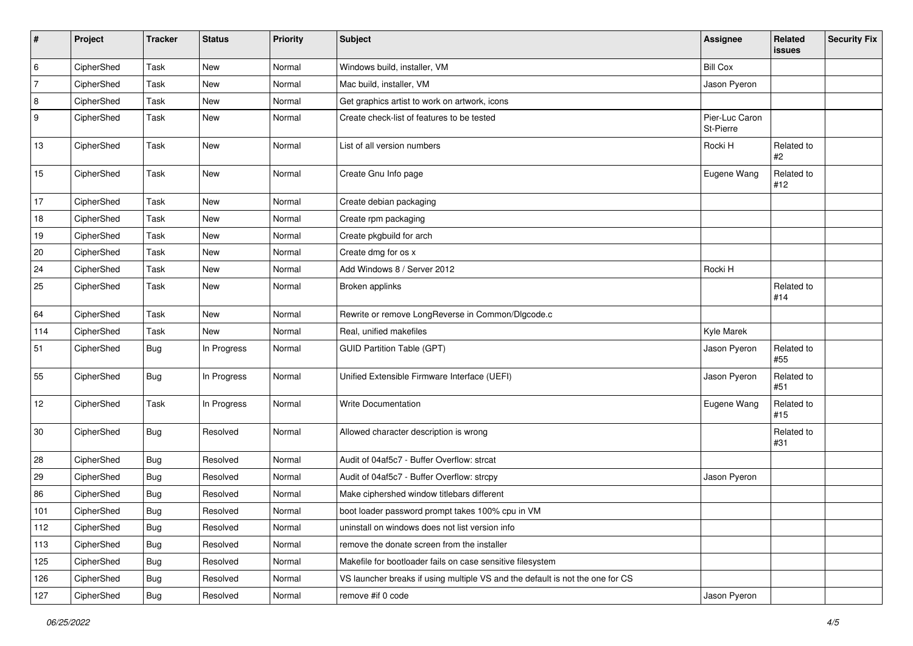| #   | Project    | <b>Tracker</b> | <b>Status</b> | <b>Priority</b> | <b>Subject</b>                                                                | Assignee                    | Related<br>issues | <b>Security Fix</b> |
|-----|------------|----------------|---------------|-----------------|-------------------------------------------------------------------------------|-----------------------------|-------------------|---------------------|
| 6   | CipherShed | Task           | New           | Normal          | Windows build, installer, VM                                                  | <b>Bill Cox</b>             |                   |                     |
| 7   | CipherShed | Task           | New           | Normal          | Mac build, installer, VM                                                      | Jason Pyeron                |                   |                     |
| 8   | CipherShed | Task           | New           | Normal          | Get graphics artist to work on artwork, icons                                 |                             |                   |                     |
| 9   | CipherShed | Task           | New           | Normal          | Create check-list of features to be tested                                    | Pier-Luc Caron<br>St-Pierre |                   |                     |
| 13  | CipherShed | Task           | New           | Normal          | List of all version numbers                                                   | Rocki H                     | Related to<br>#2  |                     |
| 15  | CipherShed | Task           | New           | Normal          | Create Gnu Info page                                                          | Eugene Wang                 | Related to<br>#12 |                     |
| 17  | CipherShed | Task           | New           | Normal          | Create debian packaging                                                       |                             |                   |                     |
| 18  | CipherShed | Task           | <b>New</b>    | Normal          | Create rpm packaging                                                          |                             |                   |                     |
| 19  | CipherShed | Task           | New           | Normal          | Create pkgbuild for arch                                                      |                             |                   |                     |
| 20  | CipherShed | Task           | New           | Normal          | Create dmg for os x                                                           |                             |                   |                     |
| 24  | CipherShed | Task           | <b>New</b>    | Normal          | Add Windows 8 / Server 2012                                                   | Rocki H                     |                   |                     |
| 25  | CipherShed | Task           | New           | Normal          | Broken applinks                                                               |                             | Related to<br>#14 |                     |
| 64  | CipherShed | Task           | New           | Normal          | Rewrite or remove LongReverse in Common/Dlgcode.c                             |                             |                   |                     |
| 114 | CipherShed | Task           | New           | Normal          | Real, unified makefiles                                                       | Kyle Marek                  |                   |                     |
| 51  | CipherShed | <b>Bug</b>     | In Progress   | Normal          | <b>GUID Partition Table (GPT)</b>                                             | Jason Pyeron                | Related to<br>#55 |                     |
| 55  | CipherShed | <b>Bug</b>     | In Progress   | Normal          | Unified Extensible Firmware Interface (UEFI)                                  | Jason Pyeron                | Related to<br>#51 |                     |
| 12  | CipherShed | Task           | In Progress   | Normal          | <b>Write Documentation</b>                                                    | Eugene Wang                 | Related to<br>#15 |                     |
| 30  | CipherShed | <b>Bug</b>     | Resolved      | Normal          | Allowed character description is wrong                                        |                             | Related to<br>#31 |                     |
| 28  | CipherShed | Bug            | Resolved      | Normal          | Audit of 04af5c7 - Buffer Overflow: strcat                                    |                             |                   |                     |
| 29  | CipherShed | <b>Bug</b>     | Resolved      | Normal          | Audit of 04af5c7 - Buffer Overflow: strcpy                                    | Jason Pyeron                |                   |                     |
| 86  | CipherShed | <b>Bug</b>     | Resolved      | Normal          | Make ciphershed window titlebars different                                    |                             |                   |                     |
| 101 | CipherShed | <b>Bug</b>     | Resolved      | Normal          | boot loader password prompt takes 100% cpu in VM                              |                             |                   |                     |
| 112 | CipherShed | <b>Bug</b>     | Resolved      | Normal          | uninstall on windows does not list version info                               |                             |                   |                     |
| 113 | CipherShed | <b>Bug</b>     | Resolved      | Normal          | remove the donate screen from the installer                                   |                             |                   |                     |
| 125 | CipherShed | <b>Bug</b>     | Resolved      | Normal          | Makefile for bootloader fails on case sensitive filesystem                    |                             |                   |                     |
| 126 | CipherShed | <b>Bug</b>     | Resolved      | Normal          | VS launcher breaks if using multiple VS and the default is not the one for CS |                             |                   |                     |
| 127 | CipherShed | Bug            | Resolved      | Normal          | remove #if 0 code                                                             | Jason Pyeron                |                   |                     |